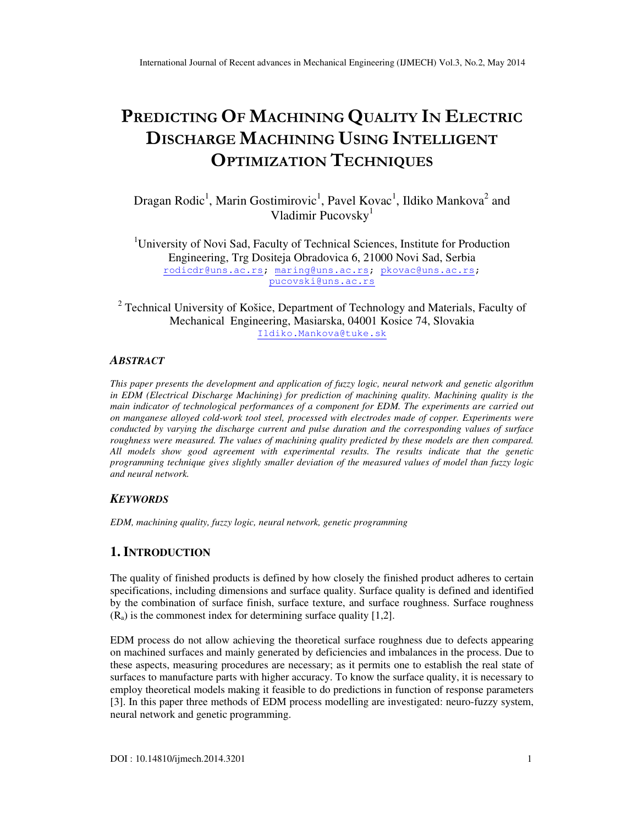# PREDICTING OF MACHINING QUALITY IN ELECTRIC DISCHARGE MACHINING USING INTELLIGENT OPTIMIZATION TECHNIQUES

Dragan Rodic<sup>1</sup>, Marin Gostimirovic<sup>1</sup>, Pavel Kovac<sup>1</sup>, Ildiko Mankova<sup>2</sup> and Vladimir Pucovsky<sup>1</sup>

<sup>1</sup>University of Novi Sad, Faculty of Technical Sciences, Institute for Production Engineering, Trg Dositeja Obradovica 6, 21000 Novi Sad, Serbia rodicdr@uns.ac.rs; maring@uns.ac.rs; pkovac@uns.ac.rs; pucovski@uns.ac.rs

<sup>2</sup> Technical University of Košice, Department of Technology and Materials, Faculty of Mechanical Engineering, Masiarska, 04001 Kosice 74, Slovakia Ildiko.Mankova@tuke.sk

### *ABSTRACT*

*This paper presents the development and application of fuzzy logic, neural network and genetic algorithm in EDM (Electrical Discharge Machining) for prediction of machining quality. Machining quality is the main indicator of technological performances of a component for EDM. The experiments are carried out on manganese alloyed cold-work tool steel, processed with electrodes made of copper. Experiments were conducted by varying the discharge current and pulse duration and the corresponding values of surface roughness were measured. The values of machining quality predicted by these models are then compared. All models show good agreement with experimental results. The results indicate that the genetic programming technique gives slightly smaller deviation of the measured values of model than fuzzy logic and neural network.* 

#### *KEYWORDS*

*EDM, machining quality, fuzzy logic, neural network, genetic programming* 

## **1. INTRODUCTION**

The quality of finished products is defined by how closely the finished product adheres to certain specifications, including dimensions and surface quality. Surface quality is defined and identified by the combination of surface finish, surface texture, and surface roughness. Surface roughness  $(R_a)$  is the commonest index for determining surface quality [1,2].

EDM process do not allow achieving the theoretical surface roughness due to defects appearing on machined surfaces and mainly generated by deficiencies and imbalances in the process. Due to these aspects, measuring procedures are necessary; as it permits one to establish the real state of surfaces to manufacture parts with higher accuracy. To know the surface quality, it is necessary to employ theoretical models making it feasible to do predictions in function of response parameters [3]. In this paper three methods of EDM process modelling are investigated: neuro-fuzzy system, neural network and genetic programming.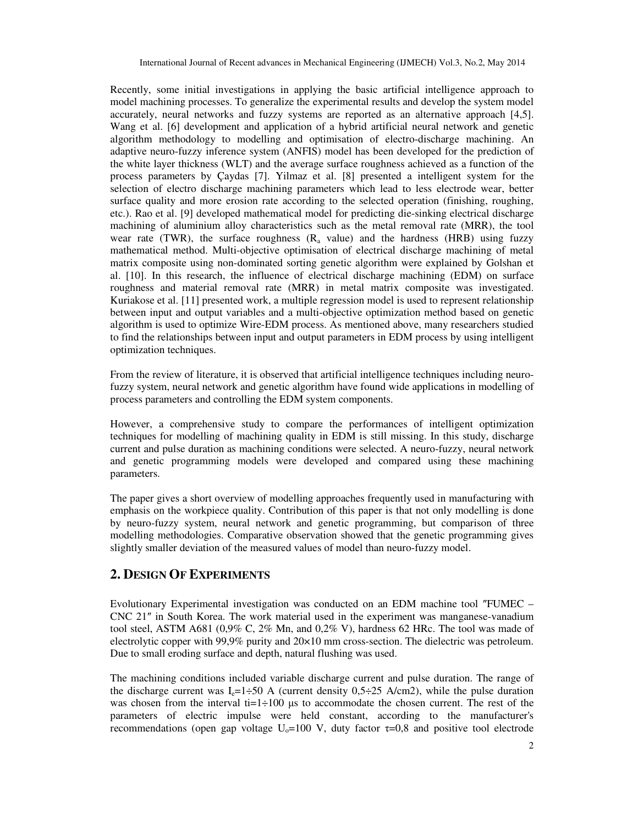Recently, some initial investigations in applying the basic artificial intelligence approach to model machining processes. To generalize the experimental results and develop the system model accurately, neural networks and fuzzy systems are reported as an alternative approach [4,5]. Wang et al. [6] development and application of a hybrid artificial neural network and genetic algorithm methodology to modelling and optimisation of electro-discharge machining. An adaptive neuro-fuzzy inference system (ANFIS) model has been developed for the prediction of the white layer thickness (WLT) and the average surface roughness achieved as a function of the process parameters by Çaydas [7]. Yilmaz et al. [8] presented a intelligent system for the selection of electro discharge machining parameters which lead to less electrode wear, better surface quality and more erosion rate according to the selected operation (finishing, roughing, etc.). Rao et al. [9] developed mathematical model for predicting die-sinking electrical discharge machining of aluminium alloy characteristics such as the metal removal rate (MRR), the tool wear rate (TWR), the surface roughness  $(R_a$  value) and the hardness (HRB) using fuzzy mathematical method. Multi-objective optimisation of electrical discharge machining of metal matrix composite using non-dominated sorting genetic algorithm were explained by Golshan et al. [10]. In this research, the influence of electrical discharge machining (EDM) on surface roughness and material removal rate (MRR) in metal matrix composite was investigated. Kuriakose et al. [11] presented work, a multiple regression model is used to represent relationship between input and output variables and a multi-objective optimization method based on genetic algorithm is used to optimize Wire-EDM process. As mentioned above, many researchers studied to find the relationships between input and output parameters in EDM process by using intelligent optimization techniques.

From the review of literature, it is observed that artificial intelligence techniques including neurofuzzy system, neural network and genetic algorithm have found wide applications in modelling of process parameters and controlling the EDM system components.

However, a comprehensive study to compare the performances of intelligent optimization techniques for modelling of machining quality in EDM is still missing. In this study, discharge current and pulse duration as machining conditions were selected. A neuro-fuzzy, neural network and genetic programming models were developed and compared using these machining parameters.

The paper gives a short overview of modelling approaches frequently used in manufacturing with emphasis on the workpiece quality. Contribution of this paper is that not only modelling is done by neuro-fuzzy system, neural network and genetic programming, but comparison of three modelling methodologies. Comparative observation showed that the genetic programming gives slightly smaller deviation of the measured values of model than neuro-fuzzy model.

## **2. DESIGN OF EXPERIMENTS**

Evolutionary Experimental investigation was conducted on an EDM machine tool ″FUMEC – CNC 21″ in South Korea. The work material used in the experiment was manganese-vanadium tool steel, ASTM A681 (0,9% C, 2% Mn, and 0,2% V), hardness 62 HRc. The tool was made of electrolytic copper with 99,9% purity and 20×10 mm cross-section. The dielectric was petroleum. Due to small eroding surface and depth, natural flushing was used.

The machining conditions included variable discharge current and pulse duration. The range of the discharge current was  $I_e=1\div 50$  A (current density 0,5 $\div 25$  A/cm2), while the pulse duration was chosen from the interval ti=1 $\div$ 100 µs to accommodate the chosen current. The rest of the parameters of electric impulse were held constant, according to the manufacturer's recommendations (open gap voltage  $U_0$ =100 V, duty factor  $\tau$ =0,8 and positive tool electrode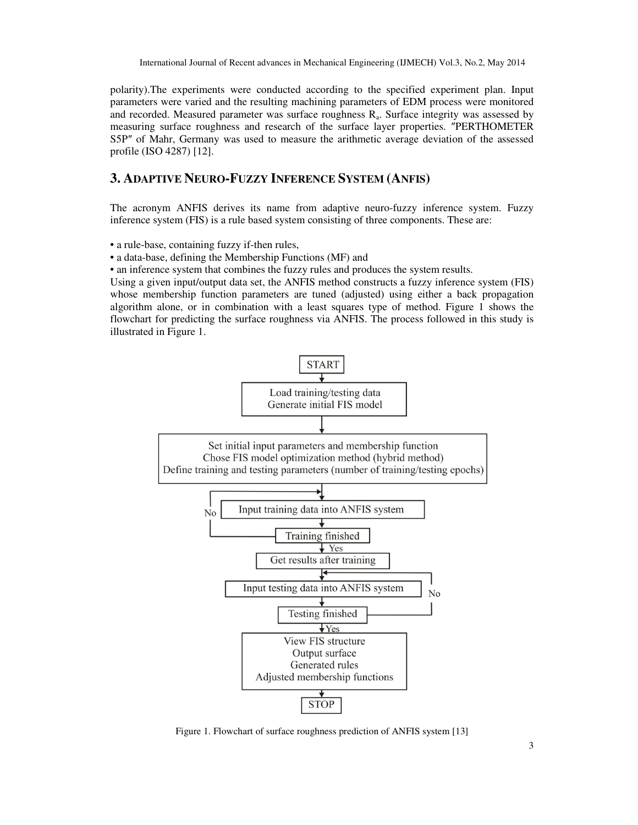polarity).The experiments were conducted according to the specified experiment plan. Input parameters were varied and the resulting machining parameters of EDM process were monitored and recorded. Measured parameter was surface roughness  $R_a$ . Surface integrity was assessed by measuring surface roughness and research of the surface layer properties. ″PERTHOMETER S5P″ of Mahr, Germany was used to measure the arithmetic average deviation of the assessed profile (ISO 4287) [12].

#### **3. ADAPTIVE NEURO-FUZZY INFERENCE SYSTEM (ANFIS)**

The acronym ANFIS derives its name from adaptive neuro-fuzzy inference system. Fuzzy inference system (FIS) is a rule based system consisting of three components. These are:

• a rule-base, containing fuzzy if-then rules,

• a data-base, defining the Membership Functions (MF) and

• an inference system that combines the fuzzy rules and produces the system results.

Using a given input/output data set, the ANFIS method constructs a fuzzy inference system (FIS) whose membership function parameters are tuned (adjusted) using either a back propagation algorithm alone, or in combination with a least squares type of method. Figure 1 shows the flowchart for predicting the surface roughness via ANFIS. The process followed in this study is illustrated in Figure 1.



Figure 1. Flowchart of surface roughness prediction of ANFIS system [13]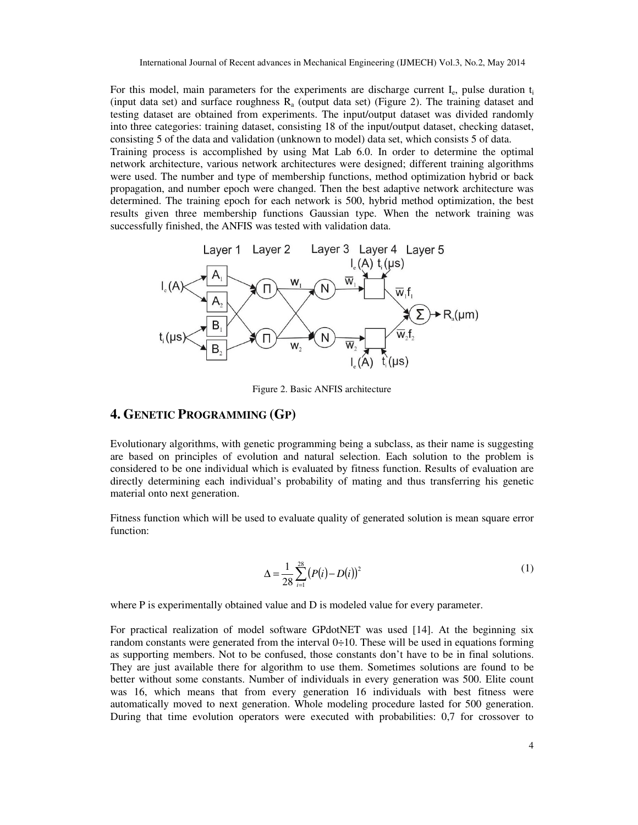For this model, main parameters for the experiments are discharge current  $I_e$ , pulse duration  $t_i$ (input data set) and surface roughness  $R_a$  (output data set) (Figure 2). The training dataset and testing dataset are obtained from experiments. The input/output dataset was divided randomly into three categories: training dataset, consisting 18 of the input/output dataset, checking dataset, consisting 5 of the data and validation (unknown to model) data set, which consists 5 of data.

Training process is accomplished by using Mat Lab 6.0. In order to determine the optimal network architecture, various network architectures were designed; different training algorithms were used. The number and type of membership functions, method optimization hybrid or back propagation, and number epoch were changed. Then the best adaptive network architecture was determined. The training epoch for each network is 500, hybrid method optimization, the best results given three membership functions Gaussian type. When the network training was successfully finished, the ANFIS was tested with validation data.



Figure 2. Basic ANFIS architecture

#### **4. GENETIC PROGRAMMING (GP)**

Evolutionary algorithms, with genetic programming being a subclass, as their name is suggesting are based on principles of evolution and natural selection. Each solution to the problem is considered to be one individual which is evaluated by fitness function. Results of evaluation are directly determining each individual's probability of mating and thus transferring his genetic material onto next generation.

Fitness function which will be used to evaluate quality of generated solution is mean square error function:

$$
\Delta = \frac{1}{28} \sum_{i=1}^{28} (P(i) - D(i))^2
$$
 (1)

where P is experimentally obtained value and D is modeled value for every parameter.

For practical realization of model software GPdotNET was used [14]. At the beginning six random constants were generated from the interval  $0+10$ . These will be used in equations forming as supporting members. Not to be confused, those constants don't have to be in final solutions. They are just available there for algorithm to use them. Sometimes solutions are found to be better without some constants. Number of individuals in every generation was 500. Elite count was 16, which means that from every generation 16 individuals with best fitness were automatically moved to next generation. Whole modeling procedure lasted for 500 generation. During that time evolution operators were executed with probabilities: 0,7 for crossover to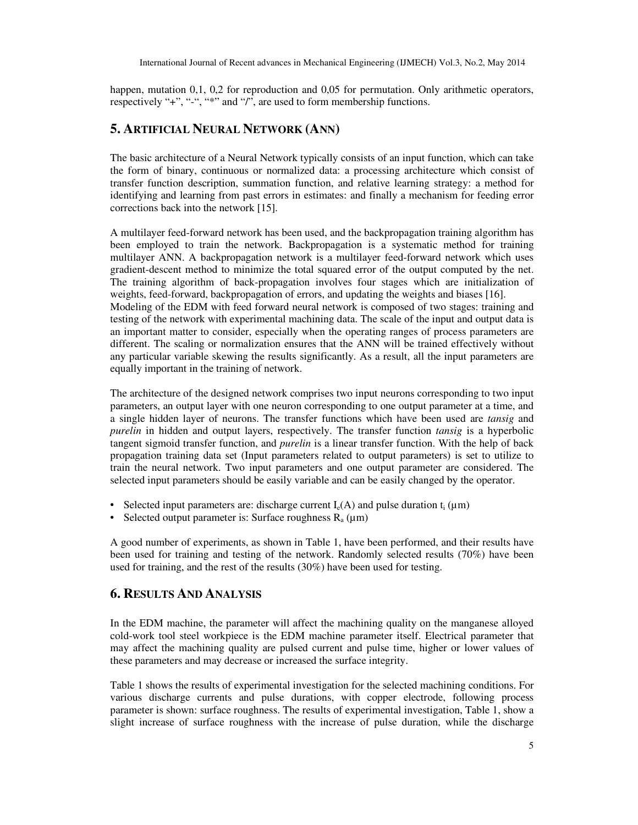happen, mutation 0,1, 0,2 for reproduction and 0,05 for permutation. Only arithmetic operators, respectively "+", "-", "\*" and "/", are used to form membership functions.

### **5. ARTIFICIAL NEURAL NETWORK (ANN)**

The basic architecture of a Neural Network typically consists of an input function, which can take the form of binary, continuous or normalized data: a processing architecture which consist of transfer function description, summation function, and relative learning strategy: a method for identifying and learning from past errors in estimates: and finally a mechanism for feeding error corrections back into the network [15].

A multilayer feed-forward network has been used, and the backpropagation training algorithm has been employed to train the network. Backpropagation is a systematic method for training multilayer ANN. A backpropagation network is a multilayer feed-forward network which uses gradient-descent method to minimize the total squared error of the output computed by the net. The training algorithm of back-propagation involves four stages which are initialization of weights, feed-forward, backpropagation of errors, and updating the weights and biases [16]. Modeling of the EDM with feed forward neural network is composed of two stages: training and testing of the network with experimental machining data. The scale of the input and output data is an important matter to consider, especially when the operating ranges of process parameters are different. The scaling or normalization ensures that the ANN will be trained effectively without any particular variable skewing the results significantly. As a result, all the input parameters are equally important in the training of network.

The architecture of the designed network comprises two input neurons corresponding to two input parameters, an output layer with one neuron corresponding to one output parameter at a time, and a single hidden layer of neurons. The transfer functions which have been used are *tansig* and *purelin* in hidden and output layers, respectively. The transfer function *tansig* is a hyperbolic tangent sigmoid transfer function, and *purelin* is a linear transfer function. With the help of back propagation training data set (Input parameters related to output parameters) is set to utilize to train the neural network. Two input parameters and one output parameter are considered. The selected input parameters should be easily variable and can be easily changed by the operator.

- Selected input parameters are: discharge current  $I_e(A)$  and pulse duration  $t_i(\mu m)$
- Selected output parameter is: Surface roughness  $R_a$  ( $\mu$ m)

A good number of experiments, as shown in Table 1, have been performed, and their results have been used for training and testing of the network. Randomly selected results (70%) have been used for training, and the rest of the results (30%) have been used for testing.

#### **6. RESULTS AND ANALYSIS**

In the EDM machine, the parameter will affect the machining quality on the manganese alloyed cold-work tool steel workpiece is the EDM machine parameter itself. Electrical parameter that may affect the machining quality are pulsed current and pulse time, higher or lower values of these parameters and may decrease or increased the surface integrity.

Table 1 shows the results of experimental investigation for the selected machining conditions. For various discharge currents and pulse durations, with copper electrode, following process parameter is shown: surface roughness. The results of experimental investigation, Table 1, show a slight increase of surface roughness with the increase of pulse duration, while the discharge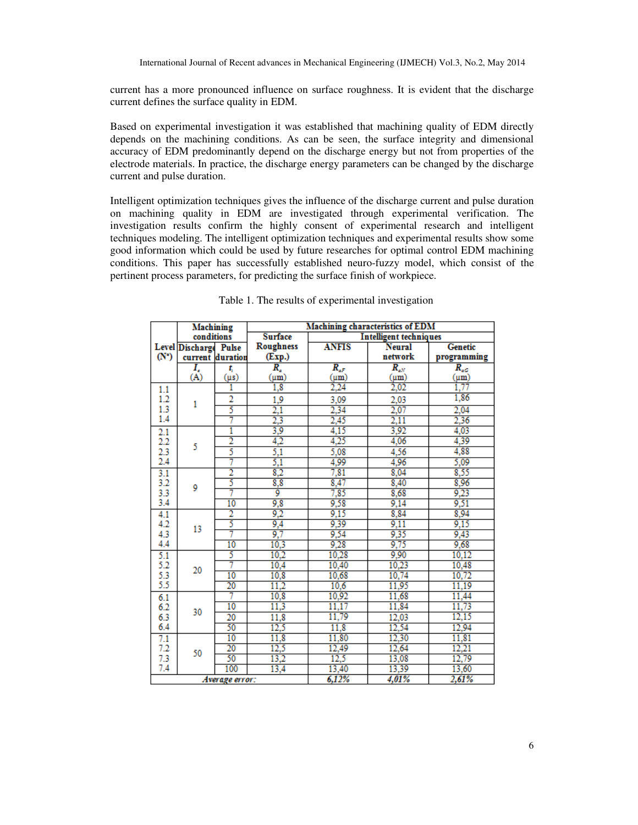current has a more pronounced influence on surface roughness. It is evident that the discharge current defines the surface quality in EDM.

Based on experimental investigation it was established that machining quality of EDM directly depends on the machining conditions. As can be seen, the surface integrity and dimensional accuracy of EDM predominantly depend on the discharge energy but not from properties of the electrode materials. In practice, the discharge energy parameters can be changed by the discharge current and pulse duration.

Intelligent optimization techniques gives the influence of the discharge current and pulse duration on machining quality in EDM are investigated through experimental verification. The investigation results confirm the highly consent of experimental research and intelligent techniques modeling. The intelligent optimization techniques and experimental results show some good information which could be used by future researches for optimal control EDM machining conditions. This paper has successfully established neuro-fuzzy model, which consist of the pertinent process parameters, for predicting the surface finish of workpiece.

|                | Machining<br>conditions |                  | Machining characteristics of EDM                |                  |               |             |
|----------------|-------------------------|------------------|-------------------------------------------------|------------------|---------------|-------------|
|                |                         |                  | <b>Surface</b><br><b>Intelligent techniques</b> |                  |               |             |
|                | Level Discharge Pulse   |                  | Roughness                                       | <b>ANFIS</b>     | <b>Neural</b> | Genetic     |
| $(N^{\circ})$  |                         | current duration | (Exp.)                                          |                  | network       | programming |
|                | T,                      | t,               | $\overline{R_{a}}$                              | $R_{aF}$         | $R_{aN}$      | $R_{c}$     |
|                | (A)                     | $(\mu s)$        | (µm)                                            | $(\mu m)$        | (um)          | (um)        |
| 1.1            | 1                       | 1                | $\overline{1,8}$                                | $\frac{1}{2,24}$ | 2,02          | 1.77        |
| 1.2            |                         | $\overline{2}$   | 1.9                                             | 3,09             | 2,03          | 1,86        |
| 1.3            |                         | 5                | $\overline{2,1}$                                | 2,34             | 2,07          | 2.04        |
| 1.4            |                         | 7                | 2,3                                             | 2,45             | 2.11          | 2,36        |
| 2.1            | 5                       | 1                | 3,9                                             | 4,15             | 3,92          | 4.03        |
| 2.2            |                         | $\overline{2}$   | 4,2                                             | 4,25             | 4,06          | 4,39        |
| 2.3            |                         | 5                | $_{5,1}$                                        | 5,08             | 4,56          | 4,88        |
| 2.4            |                         | 7                | 5,1                                             | 4,99             | 4,96          | 5,09        |
| 3.1            | 9                       | $\overline{2}$   | 8,2                                             | 7,81             | 8,04          | 8,55        |
| 3.2            |                         | 5                | 8,8                                             | 8,47             | 8,40          | 8,96        |
| 3.3            |                         |                  | ĝ                                               | 7,85             | 8,68          | 9,23        |
| 3.4            |                         | $\overline{10}$  | 9,8                                             | 9,58             | 9,14          | 9,51        |
| 4.1            | 13                      | 2                | 9,2                                             | 9,15             | 8,84          | 8,94        |
| 4.2            |                         | 5                | 9,4                                             | 9,39             | 9,11          | 9,15        |
| 4.3            |                         | 7                | 9,7                                             | 9,54             | 9,35          | 9,43        |
| 4.4            |                         | 10               | 10,3                                            | 9,28             | 9,75          | 9,68        |
| 5.1            | 20                      | 5                | 10.2                                            | 10,28            | 9,90          | 10,12       |
| 5.2            |                         | 7                | 10,4                                            | 10,40            | 10,23         | 10,48       |
| 5.3            |                         | 10               | 10.8                                            | 10,68            | 10,74         | 10,72       |
| 5.5            |                         | $\overline{20}$  | 11,2                                            | 10,6             | 11,95         | 11,19       |
| 6.1            | 30                      | 7                | 10,8                                            | 10,92            | 11,68         | 11,44       |
| 6.2            |                         | 10               | 11.3                                            | 11,17            | 11,84         | 11,73       |
| 6.3            |                         | 20               | 11,8                                            | 11,79            | 12,03         | 12,15       |
| 6.4            |                         | 50               | 12,5                                            | 11,8             | 12,54         | 12,94       |
| 7.1            | 50                      | 10               | 11,8                                            | 11,80            | 12,30         | 11,81       |
| 7.2            |                         | 20               | 12,5                                            | 12,49            | 12,64         | 12,21       |
| 7.3            |                         | 50               | 13,2                                            | 12,5             | 13,08         | 12,79       |
| 7.4            |                         | 100              | 13,4                                            | 13,40            | 13,39         | 13,60       |
| Average error: |                         |                  |                                                 | 6,12%            | 4,01%         | 2,61%       |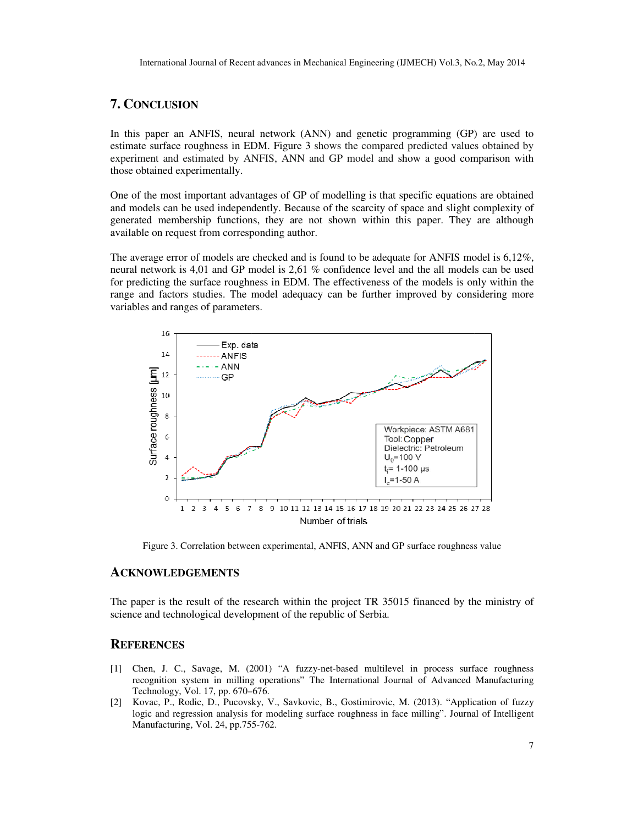#### **7. CONCLUSION**

In this paper an ANFIS, neural network (ANN) and genetic programming (GP) are used to estimate surface roughness in EDM. Figure 3 shows the compared predicted values obtained by experiment and estimated by ANFIS, ANN and GP model and show a good comparison with those obtained experimentally.

One of the most important advantages of GP of modelling is that specific equations are obtained and models can be used independently. Because of the scarcity of space and slight complexity of generated membership functions, they are not shown within this paper. They are although available on request from corresponding author. e most important advantages of GP of modelling is that specific equations are obtained is can be used independently. Because of the scarcity of space and slight complexity of membership functions, they are not shown within

The average error of models are checked and is found to be adequate for ANFIS model is 6,12%, neural network is 4,01 and GP model is 2,61 % confidence level and the all models can be used for predicting the surface roughness in EDM. The effectiveness of the models is only within the range and factors studies. The model adequacy can be further improved by considering more variables and ranges of parameters. average error of models are checked and is found to be adequate for ANFIS model is 6.<br>al network is 4,01 and GP model is 2,61 % confidence level and the all models can be<br>predicting the surface roughness in EDM. The effect



Figure 3. Correlation between experimental, ANFIS, ANN and GP surface roughness value

#### **ACKNOWLEDGEMENTS**

The paper is the result of the research within the project TR 35015 financed by the ministry of science and technological development of the republic of Serbia. science and technological development of the republic of Serbia.

#### **REFERENCES**

- [1] Chen, J. C., Savage, M. (2001) "A fuzzy-net-based multilevel in process surface roughness recognition system in milling operations" The International Journal of Advanced Manufacturing Technology, Vol. 17, pp. 670–676. Technology, Vol. 17, pp. 670– based system in milling operations" The Internat System in milling operations" The Internat Vol. 17, pp. 670–676.<br>
Rodic, D., Pucovsky, V., Savkovic, B., Gostigression analysis for modeling surface rough
- [2] Kovac, P., Rodic, D., Pucovsky, V., Savkovic, B., Gostimirovic, M. (2013). "Application of fuzzy logic and regression analysis for modeling surface roughness in face milling". Journal of Intelligent Manufacturing, Vol. 24, pp.755-762. Kovac, P., Rodic, D., Pucovsky, V., Savkovic, B., logic and regression analysis for modeling surface Manufacturing, Vol. 24, pp.755-762.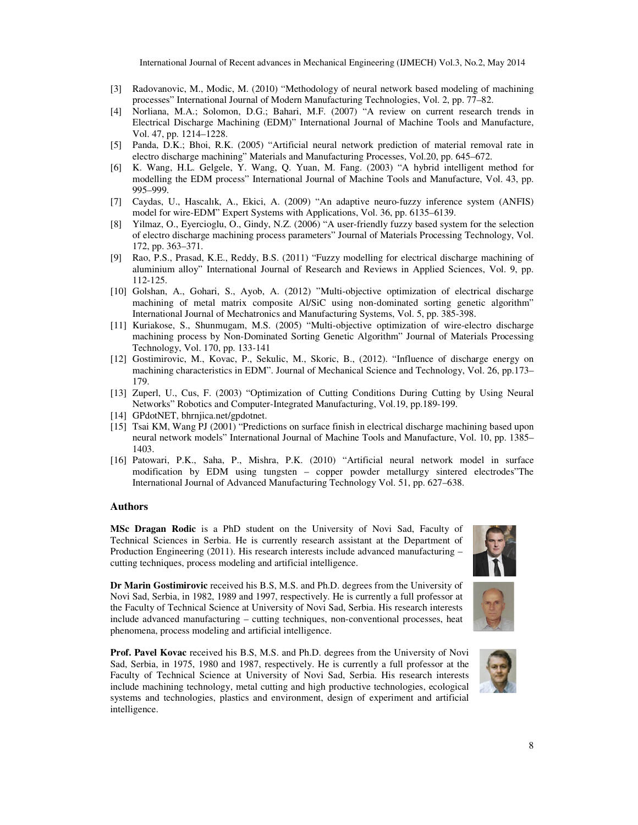- [3] Radovanovic, M., Modic, M. (2010) "Methodology of neural network based modeling of machining Radovanovic, M., Modic, M. (2010) "Methodology of neural network based modeling of n<br>processes" International Journal of Modern Manufacturing Technologies, Vol. 2, pp. 77–82.
- [4] Norliana, M.A.; Solomon, D.G.; Bahari, M.F. (2007) "A review on current research trends in Electrical Discharge Machining (EDM)" International Journal of Machine Tools and Manufacture, Vol. 47, pp. 1214–1228. nna, M.A.; Solomon, D.G.; Bahari, M.F. (2007) "A review on current research ical Discharge Machining (EDM)" International Journal of Machine Tools and Ma<br>7, pp. 1214–1228.<br>, D.K.; Bhoi, R.K. (2005) "Artificial neural netwo
- [5] Panda, D.K.; Bhoi, R.K. (2005) "Artificial neural network prediction of material removal rate in electro discharge machining" Materials and Manufacturing Processes, Vol.20, pp. 645–672.
- [6] K. Wang, H.L. Gelgele, Y. Wang, Q. Yuan, M. Fang. (2003) "A hybrid intelligent method for modelling the EDM process" International Journal of Machine Tools and Manufacture, Vol. 43, pp. 995–999. 17 K. Wang, H.L. Gelgele, Y. Wang, Q. Yuan, M. Fang. (2003) "A hybrid intelligent method for modelling the EDM process" International Journal of Machine Tools and Manufacture, Vol. 43, pp. 995–999.<br>
17 Caydas, U., Hascalık modelling the EDM process" International Journal of Machine Tools and Manufacture, Vol. 43, pp.<br>
995–999.<br>
[7] Caydas, U., Hascalık, A., Ekici, A. (2009) "An adaptive neuro-fuzzy inference system (ANFIS)<br>
model for wire-ED
- model for wire-EDM" Expert Systems with Applications, Vol. 36, pp. 6135–6139.
- of electro discharge machining process parameters" Journal of Materials Processing Technology, Vol. 172, pp. 363–371.
- [9] Rao, P.S., Prasad, K.E., Reddy, B.S. (2011) "Fuzzy modelling for electrical discharge machining of aluminium alloy" International Journal of Research and Reviews in Applied Sciences, Vol. 9, pp. 112-125. chining process parameters" Journal of Materials Processing Technology, Vol.<br>
, Reddy, B.S. (2011) "Fuzzy modelling for electrical discharge machining of<br>
national Journal of Research and Reviews in Applied Sciences, Vol.
- [10] Golshan, A., Gohari, S., Ayob, A. (2012) "Multi-objective optimization of electrical discharge machining of metal matrix composite Al/SiC using non-dominated sorting genetic algorithm" International Journal of Mechatronics and Manufacturing Systems, Vol. 5, pp. 385-398.
- [11] Kuriakose, S., Shunmugam, M.S. (2005) "Multi-objective optimization of wire-electro discharge machining process by Non-Dominated Sorting Genetic Algorithm" Journal of Materials Processing Technology, Vol. 170, pp. 133 Vol. 133-141 discharge machining process parameters" Journal of Materials Processing Technology, Vol.<br>63–371.<br>Prasad, K.E., Reddy, B.S. (2011) "Fuzzy modelling for electrical discharge machining of<br>1 alloy" International Journal of Res
- [12] Gostimirovic, M., Kovac, P., Sekulic, M., Skoric, B., (2012). "Influence of discharge energy on Gostimirovic, M., Kovac, P., Sekulic, M., Skoric, B., (2012). "Influence of discharge energy o<br>machining characteristics in EDM". Journal of Mechanical Science and Technology, Vol. 26, pp.173 179.
- [13] Zuperl, U., Cus, F. (2003) "Optimization of Cutting Conditions During Cutting by Using Neural Zuperl, U., Cus, F. (2003) "Optimization of Cutting Conditions During Cutting<br>Networks" Robotics and Computer-Integrated Manufacturing, Vol.19, pp.189-199.
- [14] GPdotNET, bhrniica.net/gpdotnet.
- [15] Tsai KM, Wang PJ (2001) "Predictions on surface finish in electrical discharge machining based upon neural network models" International Journal of Machine Tools and Manufacture, Vol. 10, pp. 1385 1403. [15] Tsai KM, Wang PJ (2001) "Predictions on surface finish in electrical discharge machining based upon<br>neural network models" International Journal of Machine Tools and Manufacture, Vol. 10, pp. 1385–<br>1403. [16] Patowari U., Cus, F. (2003) "Optimization of Cutting Conditions During Cutting by Using Neural<br>is" Robotics and Computer-Integrated Manufacturing, Vol.19, pp.189-199.<br>ET, bhrnjica.net/gpdotnet.<br>I, Wang PJ (2001) "Predictions on sur
- Patowari, P.K., Saha, P., Mishra, P.K. (2010) "Artificial neural network model in surface modification by EDM using tungsten copper powder metallurgy sintered electrodes The International Journal of Advanced Manufacturing Technology Vol. 51, pp. 627–638.

#### **Authors**

MSc Dragan Rodic is a PhD student on the University of Novi Sad, Faculty of Technical Sciences in Serbia. He is currently research assistant at the Department of Production Engineering (2011). His research interests include advanced manufacturing cutting techniques, process modeling and artificial intelligence.

Dr Marin Gostimirovic received his B.S, M.S. and Ph.D. degrees from the University of Novi Sad, Serbia, in 1982, 1989 and 1997, respectively. He is currently a full professor at the Faculty of Technical Science at University of Novi Sad, Serbia. His research interests include advanced manufacturing – cutting techniques, non-conventional processes, heat phenomena, process modeling and artificial intelligence.

Prof. Pavel Kovac received his B.S, M.S. and Ph.D. degrees from the University of Novi Sad, Serbia, in 1975, 1980 and 1987, respectively. He is currently a full professor at the **Prof. Pavel Kovac** received his B.S, M.S. and Ph.D. degrees from the University of Novi Sad, Serbia, in 1975, 1980 and 1987, respectively. He is currently a full professor at the Faculty of Technical Science at University include machining technology, metal cutting and high productive technologies, ecological systems and technologies, plastics and environment, design of experiment and artificial intelligence.